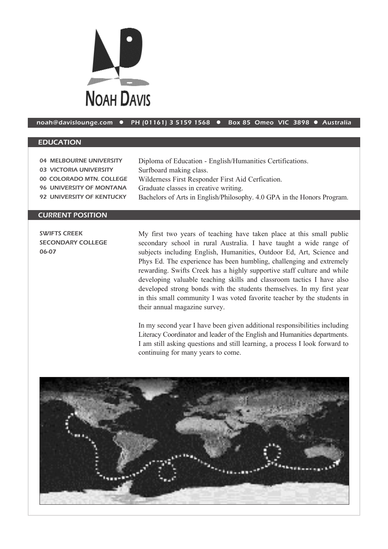

## noah@davislounge.com • PH (01161) 3 5159 1568 • Box 85 Omeo VIC 3898 • Australia

## EDUCATION

| 04 MELBOURNE UNIVERSITY   | Diploma of Education - English/Humanities Certifications.               |
|---------------------------|-------------------------------------------------------------------------|
| 03 VICTORIA UNIVERSITY    | Surfboard making class.                                                 |
| 00 COLORADO MTN. COLLEGE  | Wilderness First Responder First Aid Cerfication.                       |
| 96 UNIVERSITY OF MONTANA  | Graduate classes in creative writing.                                   |
| 92 UNIVERSITY OF KENTUCKY | Bachelors of Arts in English/Philosophy. 4.0 GPA in the Honors Program. |
|                           |                                                                         |

## CURRENT POSITION

SWIFTS CREEK SECONDARY COLLEGE 06-07

My first two years of teaching have taken place at this small public secondary school in rural Australia. I have taught a wide range of subjects including English, Humanities, Outdoor Ed, Art, Science and Phys Ed. The experience has been humbling, challenging and extremely rewarding. Swifts Creek has a highly supportive staff culture and while developing valuable teaching skills and classroom tactics I have also developed strong bonds with the students themselves. In my first year in this small community I was voted favorite teacher by the students in their annual magazine survey.

In my second year I have been given additional responsibilities including Literacy Coordinator and leader of the English and Humanities departments. I am still asking questions and still learning, a process I look forward to continuing for many years to come.